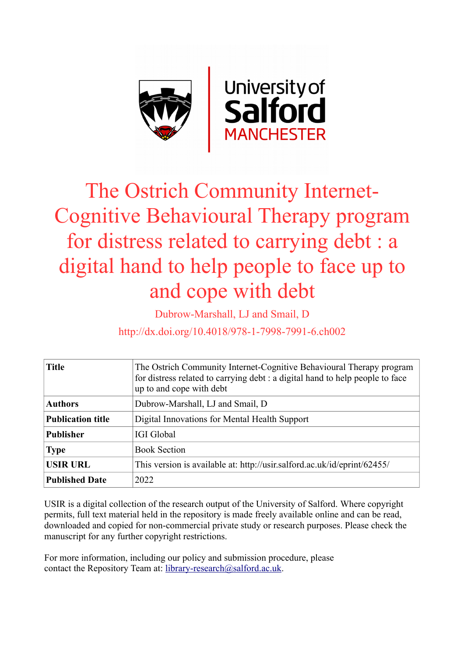

# The Ostrich Community Internet-Cognitive Behavioural Therapy program for distress related to carrying debt : a digital hand to help people to face up to and cope with debt

Dubrow-Marshall, LJ and Smail, D

http://dx.doi.org/10.4018/978-1-7998-7991-6.ch002

| <b>Title</b>             | The Ostrich Community Internet-Cognitive Behavioural Therapy program<br>for distress related to carrying debt : a digital hand to help people to face<br>up to and cope with debt |
|--------------------------|-----------------------------------------------------------------------------------------------------------------------------------------------------------------------------------|
| <b>Authors</b>           | Dubrow-Marshall, LJ and Smail, D                                                                                                                                                  |
| <b>Publication title</b> | Digital Innovations for Mental Health Support                                                                                                                                     |
| <b>Publisher</b>         | <b>IGI Global</b>                                                                                                                                                                 |
| <b>Type</b>              | <b>Book Section</b>                                                                                                                                                               |
| <b>USIR URL</b>          | This version is available at: http://usir.salford.ac.uk/id/eprint/62455/                                                                                                          |
| <b>Published Date</b>    | 2022                                                                                                                                                                              |

USIR is a digital collection of the research output of the University of Salford. Where copyright permits, full text material held in the repository is made freely available online and can be read, downloaded and copied for non-commercial private study or research purposes. Please check the manuscript for any further copyright restrictions.

For more information, including our policy and submission procedure, please contact the Repository Team at: [library-research@salford.ac.uk.](mailto:library-research@salford.ac.uk)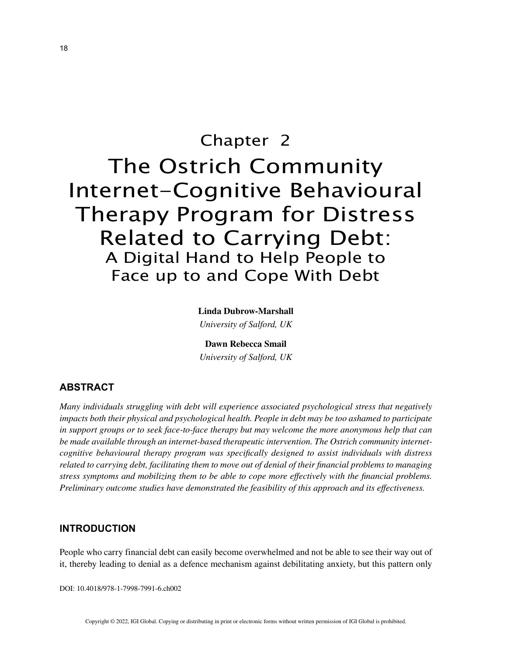## Chapter 2 The Ostrich Community Internet-Cognitive Behavioural Therapy Program for Distress Related to Carrying Debt: A Digital Hand to Help People to Face up to and Cope With Debt

**Linda Dubrow-Marshall** *University of Salford, UK*

**Dawn Rebecca Smail** *University of Salford, UK*

## **ABSTRACT**

*Many individuals struggling with debt will experience associated psychological stress that negatively impacts both their physical and psychological health. People in debt may be too ashamed to participate in support groups or to seek face-to-face therapy but may welcome the more anonymous help that can be made available through an internet-based therapeutic intervention. The Ostrich community internetcognitive behavioural therapy program was specifically designed to assist individuals with distress related to carrying debt, facilitating them to move out of denial of their financial problems to managing stress symptoms and mobilizing them to be able to cope more effectively with the financial problems. Preliminary outcome studies have demonstrated the feasibility of this approach and its effectiveness.*

### **INTRODUCTION**

People who carry financial debt can easily become overwhelmed and not be able to see their way out of it, thereby leading to denial as a defence mechanism against debilitating anxiety, but this pattern only

DOI: 10.4018/978-1-7998-7991-6.ch002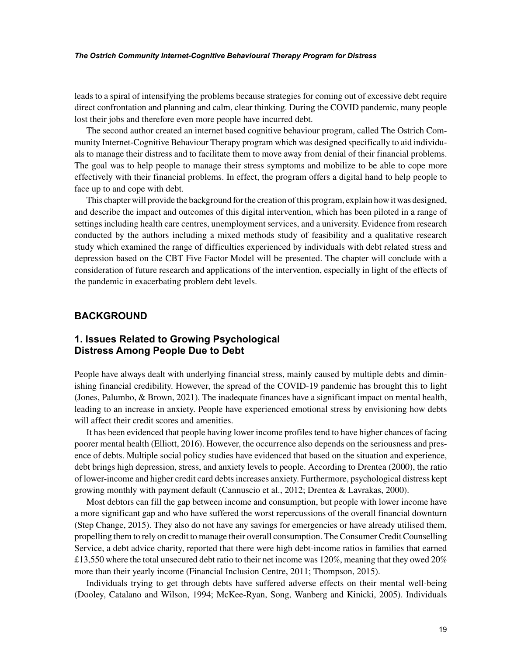leads to a spiral of intensifying the problems because strategies for coming out of excessive debt require direct confrontation and planning and calm, clear thinking. During the COVID pandemic, many people lost their jobs and therefore even more people have incurred debt.

The second author created an internet based cognitive behaviour program, called The Ostrich Community Internet-Cognitive Behaviour Therapy program which was designed specifically to aid individuals to manage their distress and to facilitate them to move away from denial of their financial problems. The goal was to help people to manage their stress symptoms and mobilize to be able to cope more effectively with their financial problems. In effect, the program offers a digital hand to help people to face up to and cope with debt.

This chapter will provide the background for the creation of this program, explain how it was designed, and describe the impact and outcomes of this digital intervention, which has been piloted in a range of settings including health care centres, unemployment services, and a university. Evidence from research conducted by the authors including a mixed methods study of feasibility and a qualitative research study which examined the range of difficulties experienced by individuals with debt related stress and depression based on the CBT Five Factor Model will be presented. The chapter will conclude with a consideration of future research and applications of the intervention, especially in light of the effects of the pandemic in exacerbating problem debt levels.

### **BACKGROUND**

## **1. Issues Related to Growing Psychological Distress Among People Due to Debt**

People have always dealt with underlying financial stress, mainly caused by multiple debts and diminishing financial credibility. However, the spread of the COVID-19 pandemic has brought this to light (Jones, Palumbo, & Brown, 2021). The inadequate finances have a significant impact on mental health, leading to an increase in anxiety. People have experienced emotional stress by envisioning how debts will affect their credit scores and amenities.

It has been evidenced that people having lower income profiles tend to have higher chances of facing poorer mental health (Elliott, 2016). However, the occurrence also depends on the seriousness and presence of debts. Multiple social policy studies have evidenced that based on the situation and experience, debt brings high depression, stress, and anxiety levels to people. According to Drentea (2000), the ratio of lower-income and higher credit card debts increases anxiety. Furthermore, psychological distress kept growing monthly with payment default (Cannuscio et al., 2012; Drentea & Lavrakas, 2000).

Most debtors can fill the gap between income and consumption, but people with lower income have a more significant gap and who have suffered the worst repercussions of the overall financial downturn (Step Change, 2015). They also do not have any savings for emergencies or have already utilised them, propelling them to rely on credit to manage their overall consumption. The Consumer Credit Counselling Service, a debt advice charity, reported that there were high debt-income ratios in families that earned £13,550 where the total unsecured debt ratio to their net income was 120%, meaning that they owed 20% more than their yearly income (Financial Inclusion Centre, 2011; Thompson, 2015).

Individuals trying to get through debts have suffered adverse effects on their mental well-being (Dooley, Catalano and Wilson, 1994; McKee-Ryan, Song, Wanberg and Kinicki, 2005). Individuals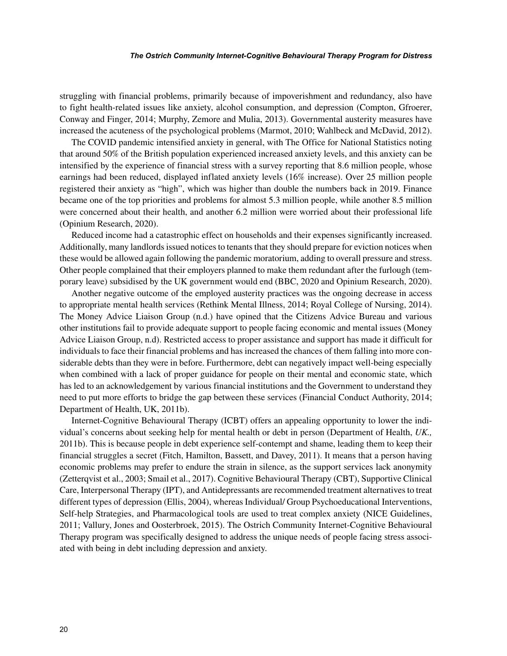struggling with financial problems, primarily because of impoverishment and redundancy, also have to fight health-related issues like anxiety, alcohol consumption, and depression (Compton, Gfroerer, Conway and Finger, 2014; Murphy, Zemore and Mulia, 2013). Governmental austerity measures have increased the acuteness of the psychological problems (Marmot, 2010; Wahlbeck and McDavid, 2012).

The COVID pandemic intensified anxiety in general, with The Office for National Statistics noting that around 50% of the British population experienced increased anxiety levels, and this anxiety can be intensified by the experience of financial stress with a survey reporting that 8.6 million people, whose earnings had been reduced, displayed inflated anxiety levels (16% increase). Over 25 million people registered their anxiety as "high", which was higher than double the numbers back in 2019. Finance became one of the top priorities and problems for almost 5.3 million people, while another 8.5 million were concerned about their health, and another 6.2 million were worried about their professional life (Opinium Research, 2020).

Reduced income had a catastrophic effect on households and their expenses significantly increased. Additionally, many landlords issued notices to tenants that they should prepare for eviction notices when these would be allowed again following the pandemic moratorium, adding to overall pressure and stress. Other people complained that their employers planned to make them redundant after the furlough (temporary leave) subsidised by the UK government would end (BBC, 2020 and Opinium Research, 2020).

Another negative outcome of the employed austerity practices was the ongoing decrease in access to appropriate mental health services (Rethink Mental Illness, 2014; Royal College of Nursing, 2014). The Money Advice Liaison Group (n.d.) have opined that the Citizens Advice Bureau and various other institutions fail to provide adequate support to people facing economic and mental issues (Money Advice Liaison Group, n.d). Restricted access to proper assistance and support has made it difficult for individuals to face their financial problems and has increased the chances of them falling into more considerable debts than they were in before. Furthermore, debt can negatively impact well-being especially when combined with a lack of proper guidance for people on their mental and economic state, which has led to an acknowledgement by various financial institutions and the Government to understand they need to put more efforts to bridge the gap between these services (Financial Conduct Authority, 2014; Department of Health, UK, 2011b).

Internet-Cognitive Behavioural Therapy (ICBT) offers an appealing opportunity to lower the individual's concerns about seeking help for mental health or debt in person (Department of Health, *UK.,* 2011b). This is because people in debt experience self-contempt and shame, leading them to keep their financial struggles a secret (Fitch, Hamilton, Bassett, and Davey, 2011). It means that a person having economic problems may prefer to endure the strain in silence, as the support services lack anonymity (Zetterqvist et al., 2003; Smail et al., 2017). Cognitive Behavioural Therapy (CBT), Supportive Clinical Care, Interpersonal Therapy (IPT), and Antidepressants are recommended treatment alternatives to treat different types of depression (Ellis, 2004), whereas Individual/ Group Psychoeducational Interventions, Self-help Strategies, and Pharmacological tools are used to treat complex anxiety (NICE Guidelines, 2011; Vallury, Jones and Oosterbroek, 2015). The Ostrich Community Internet-Cognitive Behavioural Therapy program was specifically designed to address the unique needs of people facing stress associated with being in debt including depression and anxiety.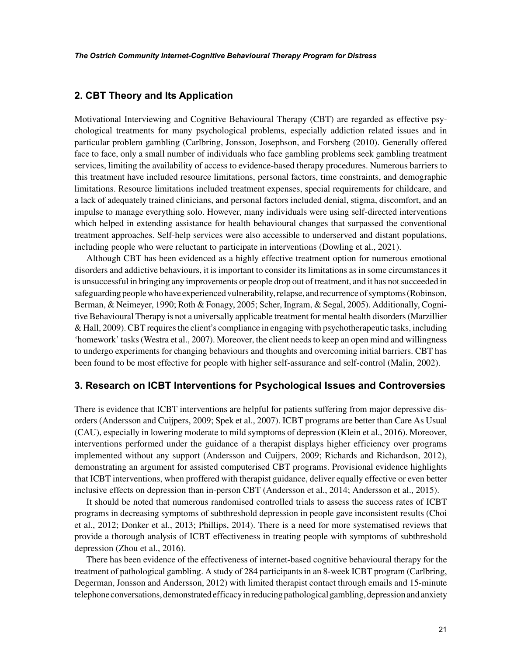## **2. CBT Theory and Its Application**

Motivational Interviewing and Cognitive Behavioural Therapy (CBT) are regarded as effective psychological treatments for many psychological problems, especially addiction related issues and in particular problem gambling (Carlbring, Jonsson, Josephson, and Forsberg (2010). Generally offered face to face, only a small number of individuals who face gambling problems seek gambling treatment services, limiting the availability of access to evidence-based therapy procedures. Numerous barriers to this treatment have included resource limitations, personal factors, time constraints, and demographic limitations. Resource limitations included treatment expenses, special requirements for childcare, and a lack of adequately trained clinicians, and personal factors included denial, stigma, discomfort, and an impulse to manage everything solo. However, many individuals were using self-directed interventions which helped in extending assistance for health behavioural changes that surpassed the conventional treatment approaches. Self-help services were also accessible to underserved and distant populations, including people who were reluctant to participate in interventions (Dowling et al., 2021).

Although CBT has been evidenced as a highly effective treatment option for numerous emotional disorders and addictive behaviours, it is important to consider its limitations as in some circumstances it is unsuccessful in bringing any improvements or people drop out of treatment, and it has not succeeded in safeguarding people who have experienced vulnerability, relapse, and recurrence of symptoms (Robinson, Berman, & Neimeyer, 1990; Roth & Fonagy, 2005; Scher, Ingram, & Segal, 2005). Additionally, Cognitive Behavioural Therapy is not a universally applicable treatment for mental health disorders (Marzillier & Hall, 2009). CBT requires the client's compliance in engaging with psychotherapeutic tasks, including 'homework' tasks (Westra et al., 2007). Moreover, the client needs to keep an open mind and willingness to undergo experiments for changing behaviours and thoughts and overcoming initial barriers. CBT has been found to be most effective for people with higher self-assurance and self-control (Malin, 2002).

#### **3. Research on ICBT Interventions for Psychological Issues and Controversies**

There is evidence that ICBT interventions are helpful for patients suffering from major depressive disorders (Andersson and Cuijpers, 2009; Spek et al., 2007). ICBT programs are better than Care As Usual (CAU), especially in lowering moderate to mild symptoms of depression (Klein et al., 2016). Moreover, interventions performed under the guidance of a therapist displays higher efficiency over programs implemented without any support (Andersson and Cuijpers, 2009; Richards and Richardson, 2012), demonstrating an argument for assisted computerised CBT programs. Provisional evidence highlights that ICBT interventions, when proffered with therapist guidance, deliver equally effective or even better inclusive effects on depression than in-person CBT (Andersson et al., 2014; Andersson et al., 2015).

It should be noted that numerous randomised controlled trials to assess the success rates of ICBT programs in decreasing symptoms of subthreshold depression in people gave inconsistent results (Choi et al., 2012; Donker et al., 2013; Phillips, 2014). There is a need for more systematised reviews that provide a thorough analysis of ICBT effectiveness in treating people with symptoms of subthreshold depression (Zhou et al., 2016).

There has been evidence of the effectiveness of internet-based cognitive behavioural therapy for the treatment of pathological gambling. A study of 284 participants in an 8-week ICBT program (Carlbring, Degerman, Jonsson and Andersson, 2012) with limited therapist contact through emails and 15-minute telephone conversations, demonstrated efficacy in reducing pathological gambling, depression and anxiety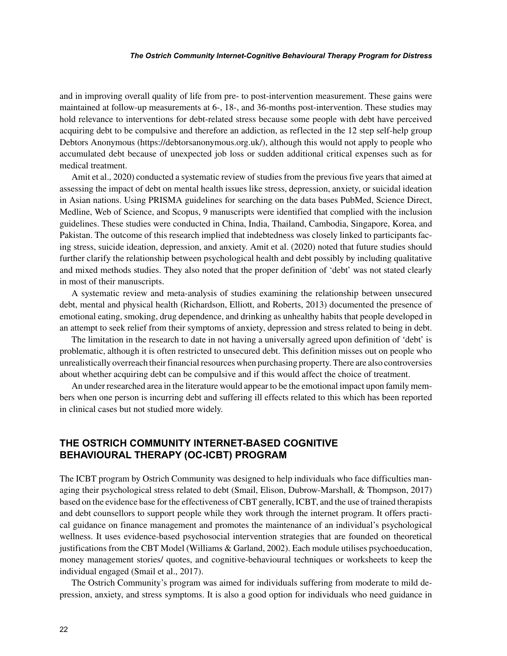and in improving overall quality of life from pre- to post-intervention measurement. These gains were maintained at follow-up measurements at 6-, 18-, and 36-months post-intervention. These studies may hold relevance to interventions for debt-related stress because some people with debt have perceived acquiring debt to be compulsive and therefore an addiction, as reflected in the 12 step self-help group Debtors Anonymous (https://debtorsanonymous.org.uk/), although this would not apply to people who accumulated debt because of unexpected job loss or sudden additional critical expenses such as for medical treatment.

Amit et al., 2020) conducted a systematic review of studies from the previous five years that aimed at assessing the impact of debt on mental health issues like stress, depression, anxiety, or suicidal ideation in Asian nations. Using PRISMA guidelines for searching on the data bases PubMed, Science Direct, Medline, Web of Science, and Scopus, 9 manuscripts were identified that complied with the inclusion guidelines. These studies were conducted in China, India, Thailand, Cambodia, Singapore, Korea, and Pakistan. The outcome of this research implied that indebtedness was closely linked to participants facing stress, suicide ideation, depression, and anxiety. Amit et al. (2020) noted that future studies should further clarify the relationship between psychological health and debt possibly by including qualitative and mixed methods studies. They also noted that the proper definition of 'debt' was not stated clearly in most of their manuscripts.

A systematic review and meta-analysis of studies examining the relationship between unsecured debt, mental and physical health (Richardson, Elliott, and Roberts, 2013) documented the presence of emotional eating, smoking, drug dependence, and drinking as unhealthy habits that people developed in an attempt to seek relief from their symptoms of anxiety, depression and stress related to being in debt.

The limitation in the research to date in not having a universally agreed upon definition of 'debt' is problematic, although it is often restricted to unsecured debt. This definition misses out on people who unrealistically overreach their financial resources when purchasing property. There are also controversies about whether acquiring debt can be compulsive and if this would affect the choice of treatment.

An under researched area in the literature would appear to be the emotional impact upon family members when one person is incurring debt and suffering ill effects related to this which has been reported in clinical cases but not studied more widely.

## **THE OSTRICH COMMUNITY INTERNET-BASED COGNITIVE BEHAVIOURAL THERAPY (OC-ICBT) PROGRAM**

The ICBT program by Ostrich Community was designed to help individuals who face difficulties managing their psychological stress related to debt (Smail, Elison, Dubrow-Marshall, & Thompson, 2017) based on the evidence base for the effectiveness of CBT generally, ICBT, and the use of trained therapists and debt counsellors to support people while they work through the internet program. It offers practical guidance on finance management and promotes the maintenance of an individual's psychological wellness. It uses evidence-based psychosocial intervention strategies that are founded on theoretical justifications from the CBT Model (Williams & Garland, 2002). Each module utilises psychoeducation, money management stories/ quotes, and cognitive-behavioural techniques or worksheets to keep the individual engaged (Smail et al., 2017).

The Ostrich Community's program was aimed for individuals suffering from moderate to mild depression, anxiety, and stress symptoms. It is also a good option for individuals who need guidance in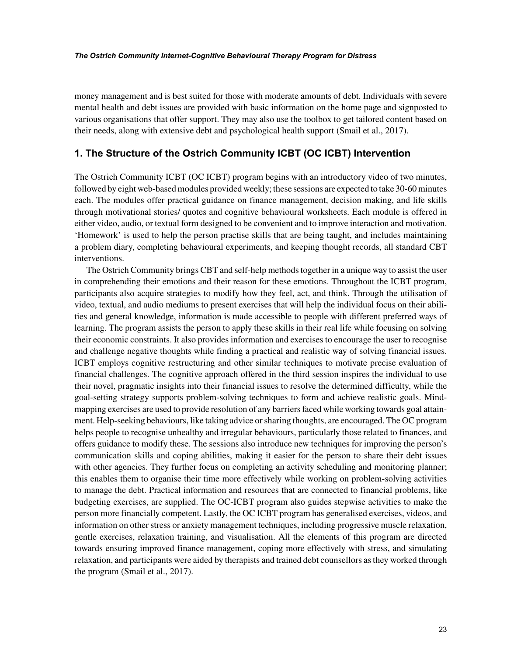money management and is best suited for those with moderate amounts of debt. Individuals with severe mental health and debt issues are provided with basic information on the home page and signposted to various organisations that offer support. They may also use the toolbox to get tailored content based on their needs, along with extensive debt and psychological health support (Smail et al., 2017).

## **1. The Structure of the Ostrich Community ICBT (OC ICBT) Intervention**

The Ostrich Community ICBT (OC ICBT) program begins with an introductory video of two minutes, followed by eight web-based modules provided weekly; these sessions are expected to take 30-60 minutes each. The modules offer practical guidance on finance management, decision making, and life skills through motivational stories/ quotes and cognitive behavioural worksheets. Each module is offered in either video, audio, or textual form designed to be convenient and to improve interaction and motivation. 'Homework' is used to help the person practise skills that are being taught, and includes maintaining a problem diary, completing behavioural experiments, and keeping thought records, all standard CBT interventions.

The Ostrich Community brings CBT and self-help methods together in a unique way to assist the user in comprehending their emotions and their reason for these emotions. Throughout the ICBT program, participants also acquire strategies to modify how they feel, act, and think. Through the utilisation of video, textual, and audio mediums to present exercises that will help the individual focus on their abilities and general knowledge, information is made accessible to people with different preferred ways of learning. The program assists the person to apply these skills in their real life while focusing on solving their economic constraints. It also provides information and exercises to encourage the user to recognise and challenge negative thoughts while finding a practical and realistic way of solving financial issues. ICBT employs cognitive restructuring and other similar techniques to motivate precise evaluation of financial challenges. The cognitive approach offered in the third session inspires the individual to use their novel, pragmatic insights into their financial issues to resolve the determined difficulty, while the goal-setting strategy supports problem-solving techniques to form and achieve realistic goals. Mindmapping exercises are used to provide resolution of any barriers faced while working towards goal attainment. Help-seeking behaviours, like taking advice or sharing thoughts, are encouraged. The OC program helps people to recognise unhealthy and irregular behaviours, particularly those related to finances, and offers guidance to modify these. The sessions also introduce new techniques for improving the person's communication skills and coping abilities, making it easier for the person to share their debt issues with other agencies. They further focus on completing an activity scheduling and monitoring planner; this enables them to organise their time more effectively while working on problem-solving activities to manage the debt. Practical information and resources that are connected to financial problems, like budgeting exercises, are supplied. The OC-ICBT program also guides stepwise activities to make the person more financially competent. Lastly, the OC ICBT program has generalised exercises, videos, and information on other stress or anxiety management techniques, including progressive muscle relaxation, gentle exercises, relaxation training, and visualisation. All the elements of this program are directed towards ensuring improved finance management, coping more effectively with stress, and simulating relaxation, and participants were aided by therapists and trained debt counsellors as they worked through the program (Smail et al., 2017).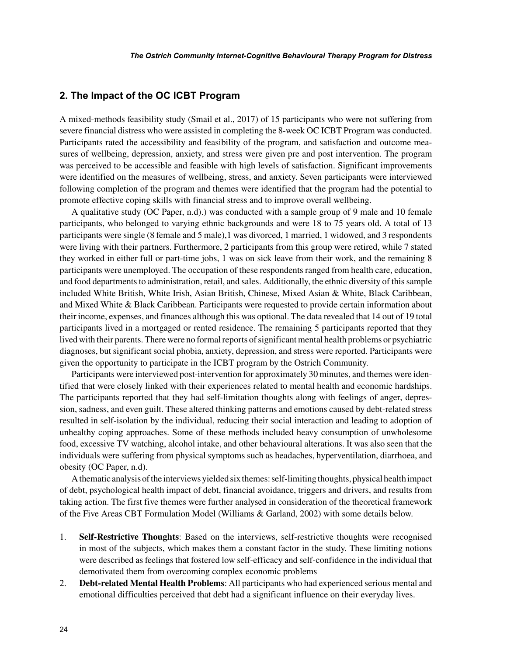## **2. The Impact of the OC ICBT Program**

A mixed-methods feasibility study (Smail et al., 2017) of 15 participants who were not suffering from severe financial distress who were assisted in completing the 8-week OC ICBT Program was conducted. Participants rated the accessibility and feasibility of the program, and satisfaction and outcome measures of wellbeing, depression, anxiety, and stress were given pre and post intervention. The program was perceived to be accessible and feasible with high levels of satisfaction. Significant improvements were identified on the measures of wellbeing, stress, and anxiety. Seven participants were interviewed following completion of the program and themes were identified that the program had the potential to promote effective coping skills with financial stress and to improve overall wellbeing.

A qualitative study (OC Paper, n.d).) was conducted with a sample group of 9 male and 10 female participants, who belonged to varying ethnic backgrounds and were 18 to 75 years old. A total of 13 participants were single (8 female and 5 male),1 was divorced, 1 married, 1 widowed, and 3 respondents were living with their partners. Furthermore, 2 participants from this group were retired, while 7 stated they worked in either full or part-time jobs, 1 was on sick leave from their work, and the remaining 8 participants were unemployed. The occupation of these respondents ranged from health care, education, and food departments to administration, retail, and sales. Additionally, the ethnic diversity of this sample included White British, White Irish, Asian British, Chinese, Mixed Asian & White, Black Caribbean, and Mixed White & Black Caribbean. Participants were requested to provide certain information about their income, expenses, and finances although this was optional. The data revealed that 14 out of 19 total participants lived in a mortgaged or rented residence. The remaining 5 participants reported that they lived with their parents. There were no formal reports of significant mental health problems or psychiatric diagnoses, but significant social phobia, anxiety, depression, and stress were reported. Participants were given the opportunity to participate in the ICBT program by the Ostrich Community.

Participants were interviewed post-intervention for approximately 30 minutes, and themes were identified that were closely linked with their experiences related to mental health and economic hardships. The participants reported that they had self-limitation thoughts along with feelings of anger, depression, sadness, and even guilt. These altered thinking patterns and emotions caused by debt-related stress resulted in self-isolation by the individual, reducing their social interaction and leading to adoption of unhealthy coping approaches. Some of these methods included heavy consumption of unwholesome food, excessive TV watching, alcohol intake, and other behavioural alterations. It was also seen that the individuals were suffering from physical symptoms such as headaches, hyperventilation, diarrhoea, and obesity (OC Paper, n.d).

A thematic analysis of the interviews yielded six themes: self-limiting thoughts, physical health impact of debt, psychological health impact of debt, financial avoidance, triggers and drivers, and results from taking action. The first five themes were further analysed in consideration of the theoretical framework of the Five Areas CBT Formulation Model (Williams & Garland, 2002) with some details below.

- 1. **Self-Restrictive Thoughts**: Based on the interviews, self-restrictive thoughts were recognised in most of the subjects, which makes them a constant factor in the study. These limiting notions were described as feelings that fostered low self-efficacy and self-confidence in the individual that demotivated them from overcoming complex economic problems
- 2. **Debt-related Mental Health Problems**: All participants who had experienced serious mental and emotional difficulties perceived that debt had a significant influence on their everyday lives.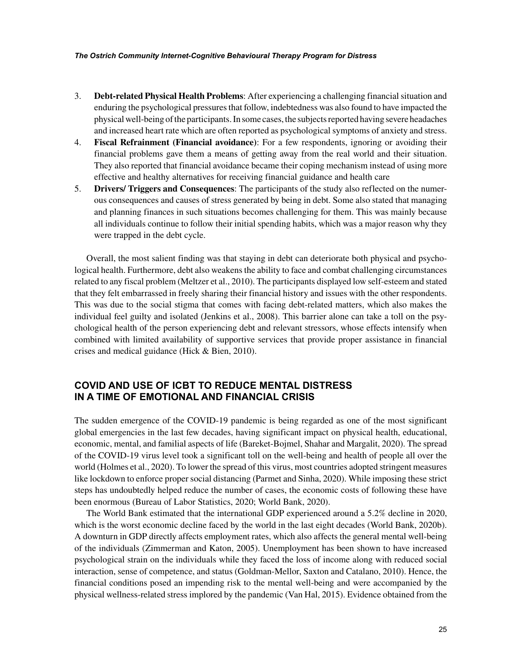- 3. **Debt-related Physical Health Problems**: After experiencing a challenging financial situation and enduring the psychological pressures that follow, indebtedness was also found to have impacted the physical well-being of the participants. In some cases, the subjects reported having severe headaches and increased heart rate which are often reported as psychological symptoms of anxiety and stress.
- 4. **Fiscal Refrainment (Financial avoidance)**: For a few respondents, ignoring or avoiding their financial problems gave them a means of getting away from the real world and their situation. They also reported that financial avoidance became their coping mechanism instead of using more effective and healthy alternatives for receiving financial guidance and health care
- 5. **Drivers/ Triggers and Consequences**: The participants of the study also reflected on the numerous consequences and causes of stress generated by being in debt. Some also stated that managing and planning finances in such situations becomes challenging for them. This was mainly because all individuals continue to follow their initial spending habits, which was a major reason why they were trapped in the debt cycle.

Overall, the most salient finding was that staying in debt can deteriorate both physical and psychological health. Furthermore, debt also weakens the ability to face and combat challenging circumstances related to any fiscal problem (Meltzer et al., 2010). The participants displayed low self-esteem and stated that they felt embarrassed in freely sharing their financial history and issues with the other respondents. This was due to the social stigma that comes with facing debt-related matters, which also makes the individual feel guilty and isolated (Jenkins et al., 2008). This barrier alone can take a toll on the psychological health of the person experiencing debt and relevant stressors, whose effects intensify when combined with limited availability of supportive services that provide proper assistance in financial crises and medical guidance (Hick & Bien, 2010).

## **COVID AND USE OF ICBT TO REDUCE MENTAL DISTRESS IN A TIME OF EMOTIONAL AND FINANCIAL CRISIS**

The sudden emergence of the COVID-19 pandemic is being regarded as one of the most significant global emergencies in the last few decades, having significant impact on physical health, educational, economic, mental, and familial aspects of life (Bareket-Bojmel, Shahar and Margalit, 2020). The spread of the COVID-19 virus level took a significant toll on the well-being and health of people all over the world (Holmes et al., 2020). To lower the spread of this virus, most countries adopted stringent measures like lockdown to enforce proper social distancing (Parmet and Sinha, 2020). While imposing these strict steps has undoubtedly helped reduce the number of cases, the economic costs of following these have been enormous (Bureau of Labor Statistics, 2020; World Bank, 2020).

The World Bank estimated that the international GDP experienced around a 5.2% decline in 2020, which is the worst economic decline faced by the world in the last eight decades (World Bank, 2020b). A downturn in GDP directly affects employment rates, which also affects the general mental well-being of the individuals (Zimmerman and Katon, 2005). Unemployment has been shown to have increased psychological strain on the individuals while they faced the loss of income along with reduced social interaction, sense of competence, and status (Goldman-Mellor, Saxton and Catalano, 2010). Hence, the financial conditions posed an impending risk to the mental well-being and were accompanied by the physical wellness-related stress implored by the pandemic (Van Hal, 2015). Evidence obtained from the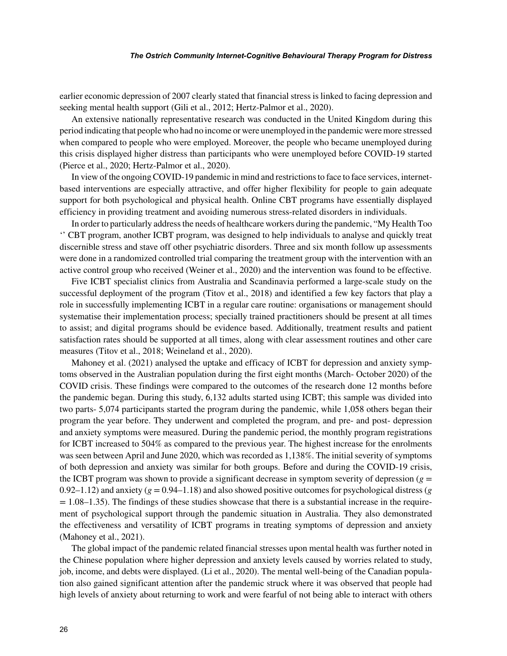earlier economic depression of 2007 clearly stated that financial stress is linked to facing depression and seeking mental health support (Gili et al., 2012; Hertz-Palmor et al., 2020).

An extensive nationally representative research was conducted in the United Kingdom during this period indicating that people who had no income or were unemployed in the pandemic were more stressed when compared to people who were employed. Moreover, the people who became unemployed during this crisis displayed higher distress than participants who were unemployed before COVID-19 started (Pierce et al., 2020; Hertz-Palmor et al., 2020).

In view of the ongoing COVID-19 pandemic in mind and restrictions to face to face services, internetbased interventions are especially attractive, and offer higher flexibility for people to gain adequate support for both psychological and physical health. Online CBT programs have essentially displayed efficiency in providing treatment and avoiding numerous stress-related disorders in individuals.

In order to particularly address the needs of healthcare workers during the pandemic, "My Health Too '' CBT program, another ICBT program, was designed to help individuals to analyse and quickly treat discernible stress and stave off other psychiatric disorders. Three and six month follow up assessments were done in a randomized controlled trial comparing the treatment group with the intervention with an active control group who received (Weiner et al., 2020) and the intervention was found to be effective.

Five ICBT specialist clinics from Australia and Scandinavia performed a large-scale study on the successful deployment of the program (Titov et al., 2018) and identified a few key factors that play a role in successfully implementing ICBT in a regular care routine: organisations or management should systematise their implementation process; specially trained practitioners should be present at all times to assist; and digital programs should be evidence based. Additionally, treatment results and patient satisfaction rates should be supported at all times, along with clear assessment routines and other care measures (Titov et al., 2018; Weineland et al., 2020).

Mahoney et al. (2021) analysed the uptake and efficacy of ICBT for depression and anxiety symptoms observed in the Australian population during the first eight months (March- October 2020) of the COVID crisis. These findings were compared to the outcomes of the research done 12 months before the pandemic began. During this study, 6,132 adults started using ICBT; this sample was divided into two parts- 5,074 participants started the program during the pandemic, while 1,058 others began their program the year before. They underwent and completed the program, and pre- and post- depression and anxiety symptoms were measured. During the pandemic period, the monthly program registrations for ICBT increased to 504% as compared to the previous year. The highest increase for the enrolments was seen between April and June 2020, which was recorded as 1,138%. The initial severity of symptoms of both depression and anxiety was similar for both groups. Before and during the COVID-19 crisis, the ICBT program was shown to provide a significant decrease in symptom severity of depression ( $g =$ 0.92–1.12) and anxiety ( $g = 0.94$ –1.18) and also showed positive outcomes for psychological distress ( $g$  $= 1.08-1.35$ ). The findings of these studies showcase that there is a substantial increase in the requirement of psychological support through the pandemic situation in Australia. They also demonstrated the effectiveness and versatility of ICBT programs in treating symptoms of depression and anxiety (Mahoney et al., 2021).

The global impact of the pandemic related financial stresses upon mental health was further noted in the Chinese population where higher depression and anxiety levels caused by worries related to study, job, income, and debts were displayed. (Li et al., 2020). The mental well-being of the Canadian population also gained significant attention after the pandemic struck where it was observed that people had high levels of anxiety about returning to work and were fearful of not being able to interact with others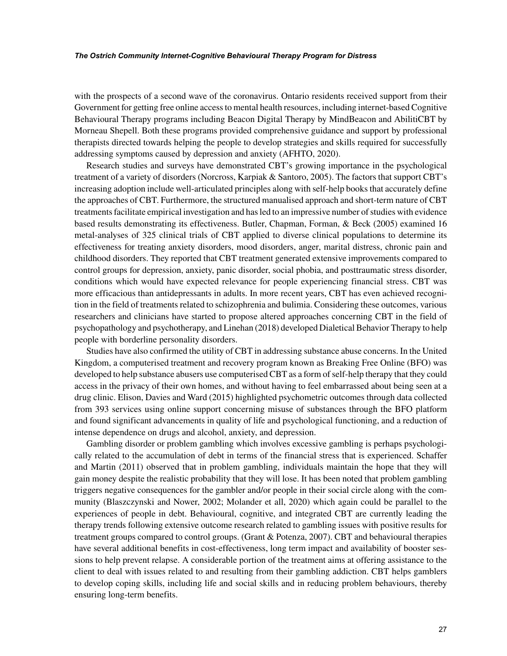with the prospects of a second wave of the coronavirus. Ontario residents received support from their Government for getting free online access to mental health resources, including internet-based Cognitive Behavioural Therapy programs including Beacon Digital Therapy by MindBeacon and AbilitiCBT by Morneau Shepell. Both these programs provided comprehensive guidance and support by professional therapists directed towards helping the people to develop strategies and skills required for successfully addressing symptoms caused by depression and anxiety (AFHTO, 2020).

Research studies and surveys have demonstrated CBT's growing importance in the psychological treatment of a variety of disorders (Norcross, Karpiak & Santoro, 2005). The factors that support CBT's increasing adoption include well-articulated principles along with self-help books that accurately define the approaches of CBT. Furthermore, the structured manualised approach and short-term nature of CBT treatments facilitate empirical investigation and has led to an impressive number of studies with evidence based results demonstrating its effectiveness. Butler, Chapman, Forman, & Beck (2005) examined 16 metal-analyses of 325 clinical trials of CBT applied to diverse clinical populations to determine its effectiveness for treating anxiety disorders, mood disorders, anger, marital distress, chronic pain and childhood disorders. They reported that CBT treatment generated extensive improvements compared to control groups for depression, anxiety, panic disorder, social phobia, and posttraumatic stress disorder, conditions which would have expected relevance for people experiencing financial stress. CBT was more efficacious than antidepressants in adults. In more recent years, CBT has even achieved recognition in the field of treatments related to schizophrenia and bulimia. Considering these outcomes, various researchers and clinicians have started to propose altered approaches concerning CBT in the field of psychopathology and psychotherapy, and Linehan (2018) developed Dialetical Behavior Therapy to help people with borderline personality disorders.

Studies have also confirmed the utility of CBT in addressing substance abuse concerns. In the United Kingdom, a computerised treatment and recovery program known as Breaking Free Online (BFO) was developed to help substance abusers use computerised CBT as a form of self-help therapy that they could access in the privacy of their own homes, and without having to feel embarrassed about being seen at a drug clinic. Elison, Davies and Ward (2015) highlighted psychometric outcomes through data collected from 393 services using online support concerning misuse of substances through the BFO platform and found significant advancements in quality of life and psychological functioning, and a reduction of intense dependence on drugs and alcohol, anxiety, and depression.

Gambling disorder or problem gambling which involves excessive gambling is perhaps psychologically related to the accumulation of debt in terms of the financial stress that is experienced. Schaffer and Martin (2011) observed that in problem gambling, individuals maintain the hope that they will gain money despite the realistic probability that they will lose. It has been noted that problem gambling triggers negative consequences for the gambler and/or people in their social circle along with the community (Blaszczynski and Nower, 2002; Molander et all, 2020) which again could be parallel to the experiences of people in debt. Behavioural, cognitive, and integrated CBT are currently leading the therapy trends following extensive outcome research related to gambling issues with positive results for treatment groups compared to control groups. (Grant & Potenza, 2007). CBT and behavioural therapies have several additional benefits in cost-effectiveness, long term impact and availability of booster sessions to help prevent relapse. A considerable portion of the treatment aims at offering assistance to the client to deal with issues related to and resulting from their gambling addiction. CBT helps gamblers to develop coping skills, including life and social skills and in reducing problem behaviours, thereby ensuring long-term benefits.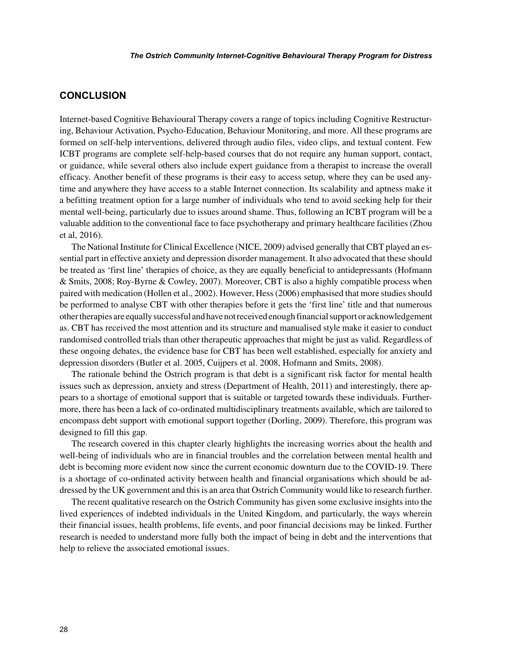## **CONCLUSION**

Internet-based Cognitive Behavioural Therapy covers a range of topics including Cognitive Restructuring, Behaviour Activation, Psycho-Education, Behaviour Monitoring, and more. All these programs are formed on self-help interventions, delivered through audio files, video clips, and textual content. Few ICBT programs are complete self-help-based courses that do not require any human support, contact, or guidance, while several others also include expert guidance from a therapist to increase the overall efficacy. Another benefit of these programs is their easy to access setup, where they can be used anytime and anywhere they have access to a stable Internet connection. Its scalability and aptness make it a befitting treatment option for a large number of individuals who tend to avoid seeking help for their mental well-being, particularly due to issues around shame. Thus, following an ICBT program will be a valuable addition to the conventional face to face psychotherapy and primary healthcare facilities (Zhou et al, 2016).

The National Institute for Clinical Excellence (NICE, 2009) advised generally that CBT played an essential part in effective anxiety and depression disorder management. It also advocated that these should be treated as 'first line' therapies of choice, as they are equally beneficial to antidepressants (Hofmann & Smits, 2008; Roy-Byrne & Cowley, 2007). Moreover, CBT is also a highly compatible process when paired with medication (Hollen et al., 2002). However, Hess (2006) emphasised that more studies should be performed to analyse CBT with other therapies before it gets the 'first line' title and that numerous other therapies are equally successful and have not received enough financial support or acknowledgement as. CBT has received the most attention and its structure and manualised style make it easier to conduct randomised controlled trials than other therapeutic approaches that might be just as valid. Regardless of these ongoing debates, the evidence base for CBT has been well established, especially for anxiety and depression disorders (Butler et al. 2005, Cuijpers et al. 2008, Hofmann and Smits, 2008).

The rationale behind the Ostrich program is that debt is a significant risk factor for mental health issues such as depression, anxiety and stress (Department of Health, 2011) and interestingly, there appears to a shortage of emotional support that is suitable or targeted towards these individuals. Furthermore, there has been a lack of co-ordinated multidisciplinary treatments available, which are tailored to encompass debt support with emotional support together (Dorling, 2009). Therefore, this program was designed to fill this gap.

The research covered in this chapter clearly highlights the increasing worries about the health and well-being of individuals who are in financial troubles and the correlation between mental health and debt is becoming more evident now since the current economic downturn due to the COVID-19. There is a shortage of co-ordinated activity between health and financial organisations which should be addressed by the UK government and this is an area that Ostrich Community would like to research further.

The recent qualitative research on the Ostrich Community has given some exclusive insights into the lived experiences of indebted individuals in the United Kingdom, and particularly, the ways wherein their financial issues, health problems, life events, and poor financial decisions may be linked. Further research is needed to understand more fully both the impact of being in debt and the interventions that help to relieve the associated emotional issues.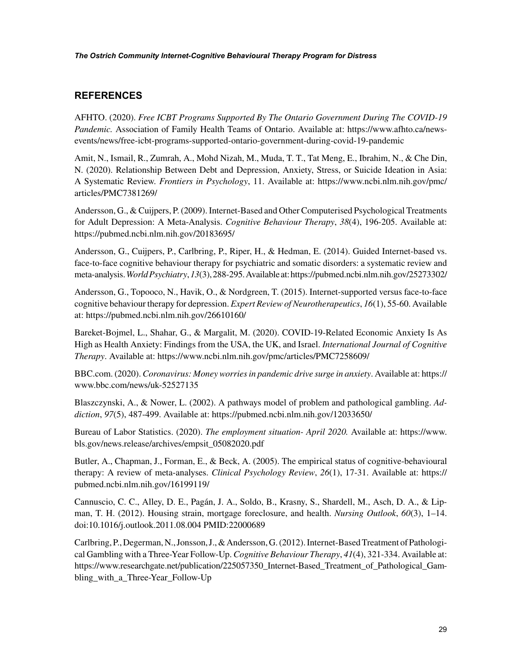## **REFERENCES**

AFHTO. (2020). *Free ICBT Programs Supported By The Ontario Government During The COVID-19 Pandemic.* Association of Family Health Teams of Ontario. Available at: https://www.afhto.ca/newsevents/news/free-icbt-programs-supported-ontario-government-during-covid-19-pandemic

Amit, N., Ismail, R., Zumrah, A., Mohd Nizah, M., Muda, T. T., Tat Meng, E., Ibrahim, N., & Che Din, N. (2020). Relationship Between Debt and Depression, Anxiety, Stress, or Suicide Ideation in Asia: A Systematic Review. *Frontiers in Psychology*, 11. Available at: https://www.ncbi.nlm.nih.gov/pmc/ articles/PMC7381269/

Andersson, G., & Cuijpers, P. (2009). Internet-Based and Other Computerised Psychological Treatments for Adult Depression: A Meta-Analysis. *Cognitive Behaviour Therapy*, *38*(4), 196-205. Available at: https://pubmed.ncbi.nlm.nih.gov/20183695/

Andersson, G., Cuijpers, P., Carlbring, P., Riper, H., & Hedman, E. (2014). Guided Internet-based vs. face-to-face cognitive behaviour therapy for psychiatric and somatic disorders: a systematic review and meta-analysis. *World Psychiatry*, *13*(3), 288-295. Available at: https://pubmed.ncbi.nlm.nih.gov/25273302/

Andersson, G., Topooco, N., Havik, O., & Nordgreen, T. (2015). Internet-supported versus face-to-face cognitive behaviour therapy for depression. *Expert Review of Neurotherapeutics*, *16*(1), 55-60. Available at: https://pubmed.ncbi.nlm.nih.gov/26610160/

Bareket-Bojmel, L., Shahar, G., & Margalit, M. (2020). COVID-19-Related Economic Anxiety Is As High as Health Anxiety: Findings from the USA, the UK, and Israel. *International Journal of Cognitive Therapy*. Available at: https://www.ncbi.nlm.nih.gov/pmc/articles/PMC7258609/

BBC.com. (2020). *Coronavirus: Money worries in pandemic drive surge in anxiety*. Available at: https:// www.bbc.com/news/uk-52527135

Blaszczynski, A., & Nower, L. (2002). A pathways model of problem and pathological gambling. *Addiction*, *97*(5), 487-499. Available at: https://pubmed.ncbi.nlm.nih.gov/12033650/

Bureau of Labor Statistics. (2020). *The employment situation- April 2020.* Available at: https://www. bls.gov/news.release/archives/empsit\_05082020.pdf

Butler, A., Chapman, J., Forman, E., & Beck, A. (2005). The empirical status of cognitive-behavioural therapy: A review of meta-analyses. *Clinical Psychology Review*, *26*(1), 17-31. Available at: https:// pubmed.ncbi.nlm.nih.gov/16199119/

Cannuscio, C. C., Alley, D. E., Pagán, J. A., Soldo, B., Krasny, S., Shardell, M., Asch, D. A., & Lipman, T. H. (2012). Housing strain, mortgage foreclosure, and health. *Nursing Outlook*, *60*(3), 1–14. doi:10.1016/j.outlook.2011.08.004 PMID:22000689

Carlbring, P., Degerman, N., Jonsson, J., & Andersson, G. (2012). Internet-Based Treatment of Pathological Gambling with a Three-Year Follow-Up. *Cognitive Behaviour Therapy*, *41*(4), 321-334. Available at: https://www.researchgate.net/publication/225057350\_Internet-Based\_Treatment\_of\_Pathological\_Gambling with a Three-Year Follow-Up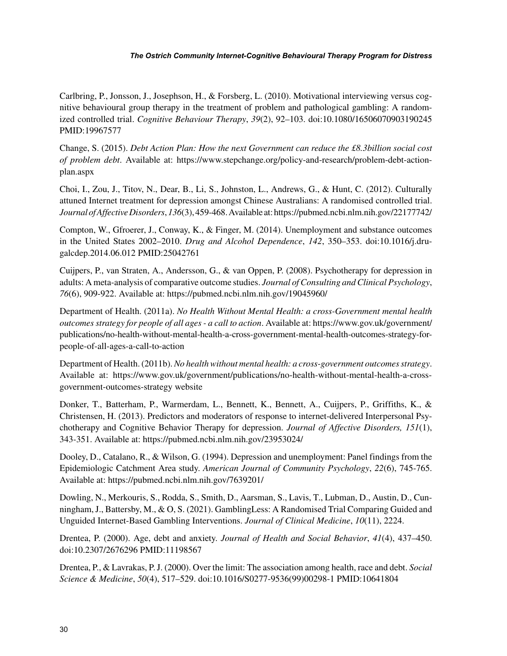Carlbring, P., Jonsson, J., Josephson, H., & Forsberg, L. (2010). Motivational interviewing versus cognitive behavioural group therapy in the treatment of problem and pathological gambling: A randomized controlled trial. *Cognitive Behaviour Therapy*, *39*(2), 92–103. doi:10.1080/16506070903190245 PMID:19967577

Change, S. (2015). *Debt Action Plan: How the next Government can reduce the £8.3billion social cost of problem debt*. Available at: https://www.stepchange.org/policy-and-research/problem-debt-actionplan.aspx

Choi, I., Zou, J., Titov, N., Dear, B., Li, S., Johnston, L., Andrews, G., & Hunt, C. (2012). Culturally attuned Internet treatment for depression amongst Chinese Australians: A randomised controlled trial. *Journal of Affective Disorders*, *136*(3), 459-468. Available at: https://pubmed.ncbi.nlm.nih.gov/22177742/

Compton, W., Gfroerer, J., Conway, K., & Finger, M. (2014). Unemployment and substance outcomes in the United States 2002–2010. *Drug and Alcohol Dependence*, *142*, 350–353. doi:10.1016/j.drugalcdep.2014.06.012 PMID:25042761

Cuijpers, P., van Straten, A., Andersson, G., & van Oppen, P. (2008). Psychotherapy for depression in adults: A meta-analysis of comparative outcome studies. *Journal of Consulting and Clinical Psychology*, *76*(6), 909-922. Available at: https://pubmed.ncbi.nlm.nih.gov/19045960/

Department of Health. (2011a). *No Health Without Mental Health: a cross-Government mental health outcomes strategy for people of all ages - a call to action*. Available at: https://www.gov.uk/government/ publications/no-health-without-mental-health-a-cross-government-mental-health-outcomes-strategy-forpeople-of-all-ages-a-call-to-action

Department of Health. (2011b). *No health without mental health: a cross-government outcomes strategy*. Available at: https://www.gov.uk/government/publications/no-health-without-mental-health-a-crossgovernment-outcomes-strateg[y website](http://website)

Donker, T., Batterham, P., Warmerdam, L., Bennett, K., Bennett, A., Cuijpers, P., Griffiths, K., & Christensen, H. (2013). Predictors and moderators of response to internet-delivered Interpersonal Psychotherapy and Cognitive Behavior Therapy for depression. *Journal of Affective Disorders, 151*(1), 343-351. Available at: https://pubmed.ncbi.nlm.nih.gov/23953024/

Dooley, D., Catalano, R., & Wilson, G. (1994). Depression and unemployment: Panel findings from the Epidemiologic Catchment Area study. *American Journal of Community Psychology*, *22*(6), 745-765. Available at: https://pubmed.ncbi.nlm.nih.gov/7639201/

Dowling, N., Merkouris, S., Rodda, S., Smith, D., Aarsman, S., Lavis, T., Lubman, D., Austin, D., Cunningham, J., Battersby, M., & O, S. (2021). GamblingLess: A Randomised Trial Comparing Guided and Unguided Internet-Based Gambling Interventions. *Journal of Clinical Medicine*, *10*(11), 2224.

Drentea, P. (2000). Age, debt and anxiety. *Journal of Health and Social Behavior*, *41*(4), 437–450. doi:10.2307/2676296 PMID:11198567

Drentea, P., & Lavrakas, P. J. (2000). Over the limit: The association among health, race and debt. *Social Science & Medicine*, *50*(4), 517–529. doi:10.1016/S0277-9536(99)00298-1 PMID:10641804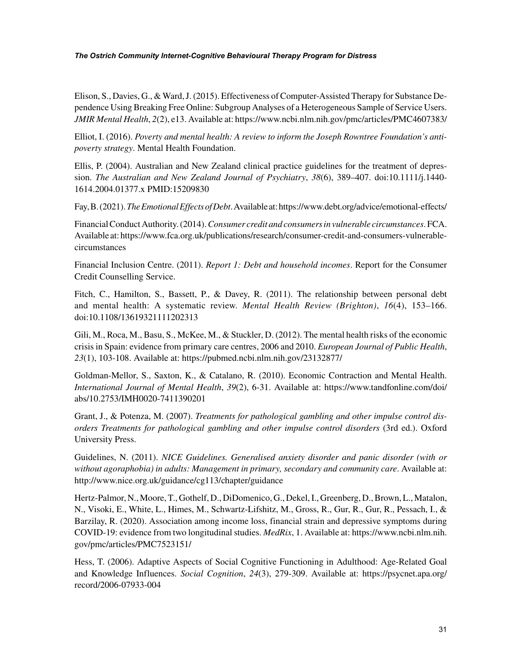Elison, S., Davies, G., & Ward, J. (2015). Effectiveness of Computer-Assisted Therapy for Substance Dependence Using Breaking Free Online: Subgroup Analyses of a Heterogeneous Sample of Service Users. *JMIR Mental Health*, *2*(2), e13. Available at: https://www.ncbi.nlm.nih.gov/pmc/articles/PMC4607383/

Elliot, I. (2016). *Poverty and mental health: A review to inform the Joseph Rowntree Foundation's antipoverty strategy*. Mental Health Foundation.

Ellis, P. (2004). Australian and New Zealand clinical practice guidelines for the treatment of depression. *The Australian and New Zealand Journal of Psychiatry*, *38*(6), 389–407. doi:10.1111/j.1440- 1614.2004.01377.x PMID:15209830

Fay, B. (2021). *The Emotional Effects of Debt*. Available at: https://www.debt.org/advice/emotional-effects/

Financial Conduct Authority. (2014). *Consumer credit and consumers in vulnerable circumstances*. FCA. Available at: https://www.fca.org.uk/publications/research/consumer-credit-and-consumers-vulnerablecircumstances

Financial Inclusion Centre. (2011). *Report 1: Debt and household incomes*. Report for the Consumer Credit Counselling Service.

Fitch, C., Hamilton, S., Bassett, P., & Davey, R. (2011). The relationship between personal debt and mental health: A systematic review. *Mental Health Review (Brighton)*, *16*(4), 153–166. doi:10.1108/13619321111202313

Gili, M., Roca, M., Basu, S., McKee, M., & Stuckler, D. (2012). The mental health risks of the economic crisis in Spain: evidence from primary care centres, 2006 and 2010. *European Journal of Public Health*, *23*(1), 103-108. Available at: https://pubmed.ncbi.nlm.nih.gov/23132877/

Goldman-Mellor, S., Saxton, K., & Catalano, R. (2010). Economic Contraction and Mental Health. *International Journal of Mental Health*, *39*(2), 6-31. Available at: https://www.tandfonline.com/doi/ abs/10.2753/IMH0020-7411390201

Grant, J., & Potenza, M. (2007). *Treatments for pathological gambling and other impulse control disorders Treatments for pathological gambling and other impulse control disorders* (3rd ed.). Oxford University Press.

Guidelines, N. (2011). *NICE Guidelines. Generalised anxiety disorder and panic disorder (with or without agoraphobia) in adults: Management in primary, secondary and community care*. Available at: http://www.nice.org.uk/guidance/cg113/chapter/guidance

Hertz-Palmor, N., Moore, T., Gothelf, D., DiDomenico, G., Dekel, I., Greenberg, D., Brown, L., Matalon, N., Visoki, E., White, L., Himes, M., Schwartz-Lifshitz, M., Gross, R., Gur, R., Gur, R., Pessach, I., & Barzilay, R. (2020). Association among income loss, financial strain and depressive symptoms during COVID-19: evidence from two longitudinal studies. *MedRix*, 1. Available at: https://www.ncbi.nlm.nih. gov/pmc/articles/PMC7523151/

Hess, T. (2006). Adaptive Aspects of Social Cognitive Functioning in Adulthood: Age-Related Goal and Knowledge Influences. *Social Cognition*, *24*(3), 279-309. Available at: https://psycnet.apa.org/ record/2006-07933-004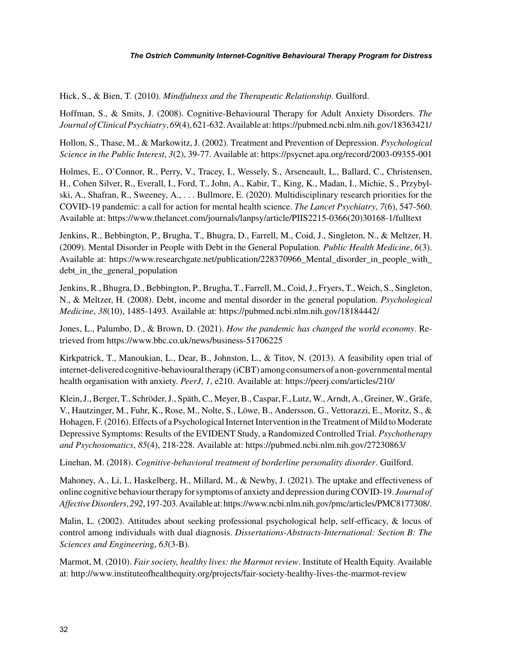Hick, S., & Bien, T. (2010). *Mindfulness and the Therapeutic Relationship*. Guilford.

Hoffman, S., & Smits, J. (2008). Cognitive-Behavioural Therapy for Adult Anxiety Disorders. *The Journal of Clinical Psychiatry*, *69*(4), 621-632. Available at: https://pubmed.ncbi.nlm.nih.gov/18363421/

Hollon, S., Thase, M., & Markowitz, J. (2002). Treatment and Prevention of Depression. *Psychological Science in the Public Interest*, *3*(2), 39-77. Available at: https://psycnet.apa.org/record/2003-09355-001

Holmes, E., O'Connor, R., Perry, V., Tracey, I., Wessely, S., Arseneault, L., Ballard, C., Christensen, H., Cohen Silver, R., Everall, I., Ford, T., John, A., Kabir, T., King, K., Madan, I., Michie, S., Przybylski, A., Shafran, R., Sweeney, A., . . . Bullmore, E. (2020). Multidisciplinary research priorities for the COVID-19 pandemic: a call for action for mental health science. *The Lancet Psychiatry*, *7*(6), 547-560. Available at: https://www.thelancet.com/journals/lanpsy/article/PIIS2215-0366(20)30168-1/fulltext

Jenkins, R., Bebbington, P., Brugha, T., Bhugra, D., Farrell, M., Coid, J., Singleton, N., & Meltzer, H. (2009). Mental Disorder in People with Debt in the General Population. *Public Health Medicine*, *6*(3). Available at: https://www.researchgate.net/publication/228370966\_Mental\_disorder\_in\_people\_with\_ debt in the general population

Jenkins, R., Bhugra, D., Bebbington, P., Brugha, T., Farrell, M., Coid, J., Fryers, T., Weich, S., Singleton, N., & Meltzer, H. (2008). Debt, income and mental disorder in the general population. *Psychological Medicine*, *38*(10), 1485-1493. Available at: https://pubmed.ncbi.nlm.nih.gov/18184442/

Jones, L., Palumbo, D., & Brown, D. (2021). *How the pandemic has changed the world economy*. Retrieved from<https://www.bbc.co.uk/news/business-51706225>

Kirkpatrick, T., Manoukian, L., Dear, B., Johnston, L., & Titov, N. (2013). A feasibility open trial of internet-delivered cognitive-behavioural therapy (iCBT) among consumers of a non-governmental mental health organisation with anxiety. *PeerJ*, *1*, e210. Available at: https://peerj.com/articles/210/

Klein, J., Berger, T., Schröder, J., Späth, C., Meyer, B., Caspar, F., Lutz, W., Arndt, A., Greiner, W., Gräfe, V., Hautzinger, M., Fuhr, K., Rose, M., Nolte, S., Löwe, B., Andersson, G., Vettorazzi, E., Moritz, S., & Hohagen, F. (2016). Effects of a Psychological Internet Intervention in the Treatment of Mild to Moderate Depressive Symptoms: Results of the EVIDENT Study, a Randomized Controlled Trial. *Psychotherapy and Psychosomatics*, *85*(4), 218-228. Available at: https://pubmed.ncbi.nlm.nih.gov/27230863/

Linehan, M. (2018). *Cognitive-behavioral treatment of borderline personality disorder*. Guilford.

Mahoney, A., Li, I., Haskelberg, H., Millard, M., & Newby, J. (2021). The uptake and effectiveness of online cognitive behaviour therapy for symptoms of anxiety and depression during COVID-19. *Journal of Affective Disorders*, *292*, 197-203. Available at: https://www.ncbi.nlm.nih.gov/pmc/articles/PMC8177308/.

Malin, L. (2002). Attitudes about seeking professional psychological help, self-efficacy, & locus of control among individuals with dual diagnosis. *Dissertations-Abstracts-International: Section B: The Sciences and Engineerin*g, *63*(3-B).

Marmot, M. (2010). *Fair society, healthy lives: the Marmot review*. Institute of Health Equity. Available at: http://www.instituteofhealthequity.org/projects/fair-society-healthy-lives-the-marmot-review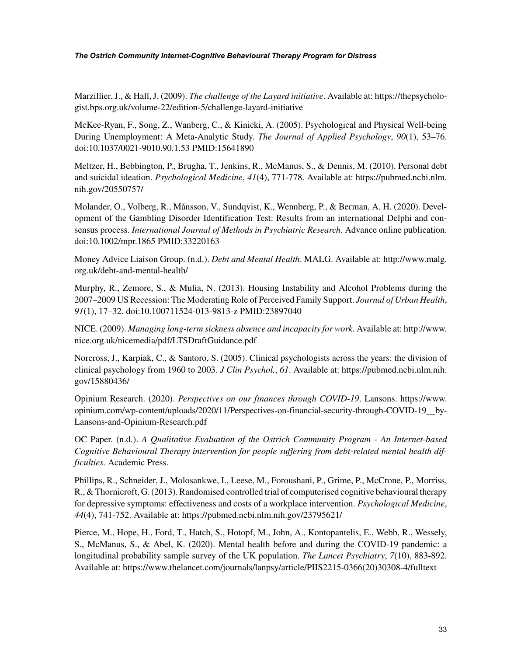Marzillier, J., & Hall, J. (2009). *The challenge of the Layard initiative*. Available at: https://thepsychologist.bps.org.uk/volume-22/edition-5/challenge-layard-initiative

McKee-Ryan, F., Song, Z., Wanberg, C., & Kinicki, A. (2005). Psychological and Physical Well-being During Unemployment: A Meta-Analytic Study. *The Journal of Applied Psychology*, *90*(1), 53–76. doi:10.1037/0021-9010.90.1.53 PMID:15641890

Meltzer, H., Bebbington, P., Brugha, T., Jenkins, R., McManus, S., & Dennis, M. (2010). Personal debt and suicidal ideation. *Psychological Medicine*, *41*(4), 771-778. Available at: https://pubmed.ncbi.nlm. nih.gov/20550757/

Molander, O., Volberg, R., Månsson, V., Sundqvist, K., Wennberg, P., & Berman, A. H. (2020). Development of the Gambling Disorder Identification Test: Results from an international Delphi and consensus process. *International Journal of Methods in Psychiatric Research*. Advance online publication. doi:10.1002/mpr.1865 PMID:33220163

Money Advice Liaison Group. (n.d.). *Debt and Mental Health*. MALG. Available at: http://www.malg. org.uk/debt-and-mental-health/

Murphy, R., Zemore, S., & Mulia, N. (2013). Housing Instability and Alcohol Problems during the 2007–2009 US Recession: The Moderating Role of Perceived Family Support. *Journal of Urban Health*, *91*(1), 17–32. doi:10.100711524-013-9813-z PMID:23897040

NICE. (2009). *Managing long-term sickness absence and incapacity for work*. Available at: http://www. nice.org.uk/nicemedia/pdf/LTSDraftGuidance.pdf

Norcross, J., Karpiak, C., & Santoro, S. (2005). Clinical psychologists across the years: the division of clinical psychology from 1960 to 2003. *J Clin Psychol.*, *61*. Available at: https://pubmed.ncbi.nlm.nih. gov/15880436/

Opinium Research. (2020). *Perspectives on our finances through COVID-19*. Lansons. [https://www.](https://www.opinium.com/wp-content/uploads/2020/11/Perspectives-on-financial-security-through-COVID-19__by-Lansons-and-Opinium-Research.pdf) [opinium.com/wp-content/uploads/2020/11/Perspectives-on-financial-security-through-COVID-19\\_\\_by-](https://www.opinium.com/wp-content/uploads/2020/11/Perspectives-on-financial-security-through-COVID-19__by-Lansons-and-Opinium-Research.pdf)[Lansons-and-Opinium-Research.pdf](https://www.opinium.com/wp-content/uploads/2020/11/Perspectives-on-financial-security-through-COVID-19__by-Lansons-and-Opinium-Research.pdf)

OC Paper. (n.d.). *A Qualitative Evaluation of the Ostrich Community Program - An Internet-based Cognitive Behavioural Therapy intervention for people suffering from debt-related mental health difficulties.* Academic Press.

Phillips, R., Schneider, J., Molosankwe, I., Leese, M., Foroushani, P., Grime, P., McCrone, P., Morriss, R., & Thornicroft, G. (2013). Randomised controlled trial of computerised cognitive behavioural therapy for depressive symptoms: effectiveness and costs of a workplace intervention. *Psychological Medicine*, *44*(4), 741-752. Available at: https://pubmed.ncbi.nlm.nih.gov/23795621/

Pierce, M., Hope, H., Ford, T., Hatch, S., Hotopf, M., John, A., Kontopantelis, E., Webb, R., Wessely, S., McManus, S., & Abel, K. (2020). Mental health before and during the COVID-19 pandemic: a longitudinal probability sample survey of the UK population. *The Lancet Psychiatry*, *7*(10), 883-892. Available at: https://www.thelancet.com/journals/lanpsy/article/PIIS2215-0366(20)30308-4/fulltext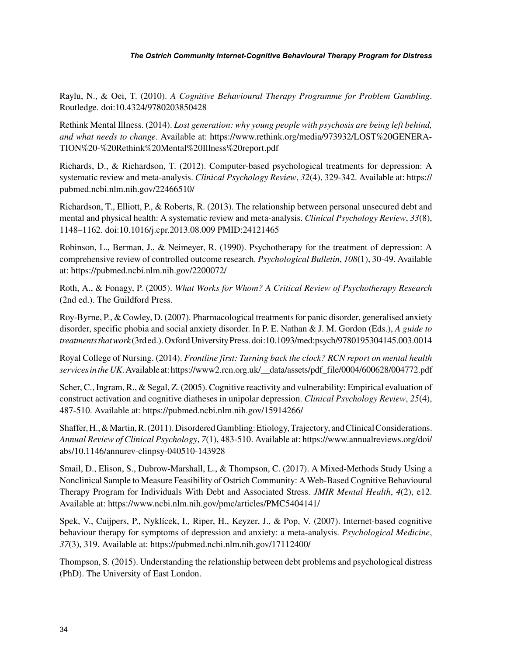Raylu, N., & Oei, T. (2010). *A Cognitive Behavioural Therapy Programme for Problem Gambling*. Routledge. doi:10.4324/9780203850428

Rethink Mental Illness. (2014). *Lost generation: why young people with psychosis are being left behind, and what needs to change*. Available at: https://www.rethink.org/media/973932/LOST%20GENERA-TION%20-%20Rethink%20Mental%20Illness%20report.pdf

Richards, D., & Richardson, T. (2012). Computer-based psychological treatments for depression: A systematic review and meta-analysis. *Clinical Psychology Review*, *32*(4), 329-342. Available at: https:// pubmed.ncbi.nlm.nih.gov/22466510/

Richardson, T., Elliott, P., & Roberts, R. (2013). The relationship between personal unsecured debt and mental and physical health: A systematic review and meta-analysis. *Clinical Psychology Review*, *33*(8), 1148–1162. doi:10.1016/j.cpr.2013.08.009 PMID:24121465

Robinson, L., Berman, J., & Neimeyer, R. (1990). Psychotherapy for the treatment of depression: A comprehensive review of controlled outcome research. *Psychological Bulletin*, *108*(1), 30-49. Available at: https://pubmed.ncbi.nlm.nih.gov/2200072/

Roth, A., & Fonagy, P. (2005). *What Works for Whom? A Critical Review of Psychotherapy Research* (2nd ed.). The Guildford Press.

Roy-Byrne, P., & Cowley, D. (2007). Pharmacological treatments for panic disorder, generalised anxiety disorder, specific phobia and social anxiety disorder. In P. E. Nathan & J. M. Gordon (Eds.), *A guide to treatments that work* (3rd ed.). Oxford University Press. doi:10.1093/med:psych/9780195304145.003.0014

Royal College of Nursing. (2014). *Frontline first: Turning back the clock? RCN report on mental health services in the UK*. Available at: https://www2.rcn.org.uk/\_\_data/assets/pdf\_file/0004/600628/004772.pdf

Scher, C., Ingram, R., & Segal, Z. (2005). Cognitive reactivity and vulnerability: Empirical evaluation of construct activation and cognitive diatheses in unipolar depression. *Clinical Psychology Review*, *25*(4), 487-510. Available at: https://pubmed.ncbi.nlm.nih.gov/15914266/

Shaffer, H., & Martin, R. (2011). Disordered Gambling: Etiology, Trajectory, and Clinical Considerations. *Annual Review of Clinical Psychology*, *7*(1), 483-510. Available at: https://www.annualreviews.org/doi/ abs/10.1146/annurev-clinpsy-040510-143928

Smail, D., Elison, S., Dubrow-Marshall, L., & Thompson, C. (2017). A Mixed-Methods Study Using a Nonclinical Sample to Measure Feasibility of Ostrich Community: A Web-Based Cognitive Behavioural Therapy Program for Individuals With Debt and Associated Stress. *JMIR Mental Health*, *4*(2), e12. Available at: https://www.ncbi.nlm.nih.gov/pmc/articles/PMC5404141/

Spek, V., Cuijpers, P., Nyklícek, I., Riper, H., Keyzer, J., & Pop, V. (2007). Internet-based cognitive behaviour therapy for symptoms of depression and anxiety: a meta-analysis. *Psychological Medicine*, *37*(3), 319. Available at: https://pubmed.ncbi.nlm.nih.gov/17112400/

Thompson, S. (2015). Understanding the relationship between debt problems and psychological distress (PhD). The University of East London.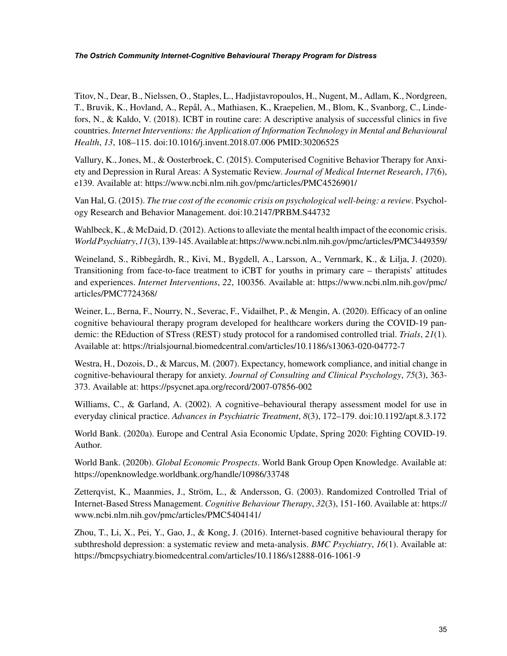Titov, N., Dear, B., Nielssen, O., Staples, L., Hadjistavropoulos, H., Nugent, M., Adlam, K., Nordgreen, T., Bruvik, K., Hovland, A., Repål, A., Mathiasen, K., Kraepelien, M., Blom, K., Svanborg, C., Lindefors, N., & Kaldo, V. (2018). ICBT in routine care: A descriptive analysis of successful clinics in five countries. *Internet Interventions: the Application of Information Technology in Mental and Behavioural Health*, *13*, 108–115. doi:10.1016/j.invent.2018.07.006 PMID:30206525

Vallury, K., Jones, M., & Oosterbroek, C. (2015). Computerised Cognitive Behavior Therapy for Anxiety and Depression in Rural Areas: A Systematic Review. *Journal of Medical Internet Research*, *17*(6), e139. Available at: https://www.ncbi.nlm.nih.gov/pmc/articles/PMC4526901/

Van Hal, G. (2015). *The true cost of the economic crisis on psychological well-being: a review*. Psychology Research and Behavior Management. doi:10.2147/PRBM.S44732

Wahlbeck, K., & McDaid, D. (2012). Actions to alleviate the mental health impact of the economic crisis. *World Psychiatry*, *11*(3), 139-145. Available at: https://www.ncbi.nlm.nih.gov/pmc/articles/PMC3449359/

Weineland, S., Ribbegårdh, R., Kivi, M., Bygdell, A., Larsson, A., Vernmark, K., & Lilja, J. (2020). Transitioning from face-to-face treatment to iCBT for youths in primary care – therapists' attitudes and experiences. *Internet Interventions*, *22*, 100356. Available at: https://www.ncbi.nlm.nih.gov/pmc/ articles/PMC7724368/

Weiner, L., Berna, F., Nourry, N., Severac, F., Vidailhet, P., & Mengin, A. (2020). Efficacy of an online cognitive behavioural therapy program developed for healthcare workers during the COVID-19 pandemic: the REduction of STress (REST) study protocol for a randomised controlled trial. *Trials*, *21*(1). Available at: https://trialsjournal.biomedcentral.com/articles/10.1186/s13063-020-04772-7

Westra, H., Dozois, D., & Marcus, M. (2007). Expectancy, homework compliance, and initial change in cognitive-behavioural therapy for anxiety. *Journal of Consulting and Clinical Psychology*, *75*(3), 363- 373. Available at: https://psycnet.apa.org/record/2007-07856-002

Williams, C., & Garland, A. (2002). A cognitive–behavioural therapy assessment model for use in everyday clinical practice. *Advances in Psychiatric Treatment*, *8*(3), 172–179. doi:10.1192/apt.8.3.172

World Bank. (2020a). Europe and Central Asia Economic Update, Spring 2020: Fighting COVID-19. Author.

World Bank. (2020b). *Global Economic Prospects*. World Bank Group Open Knowledge. Available at: https://openknowledge.worldbank.org/handle/10986/33748

Zetterqvist, K., Maanmies, J., Ström, L., & Andersson, G. (2003). Randomized Controlled Trial of Internet-Based Stress Management. *Cognitive Behaviour Therapy*, *32*(3), 151-160. Available at: https:// www.ncbi.nlm.nih.gov/pmc/articles/PMC5404141/

Zhou, T., Li, X., Pei, Y., Gao, J., & Kong, J. (2016). Internet-based cognitive behavioural therapy for subthreshold depression: a systematic review and meta-analysis. *BMC Psychiatry*, *16*(1). Available at: https://bmcpsychiatry.biomedcentral.com/articles/10.1186/s12888-016-1061-9